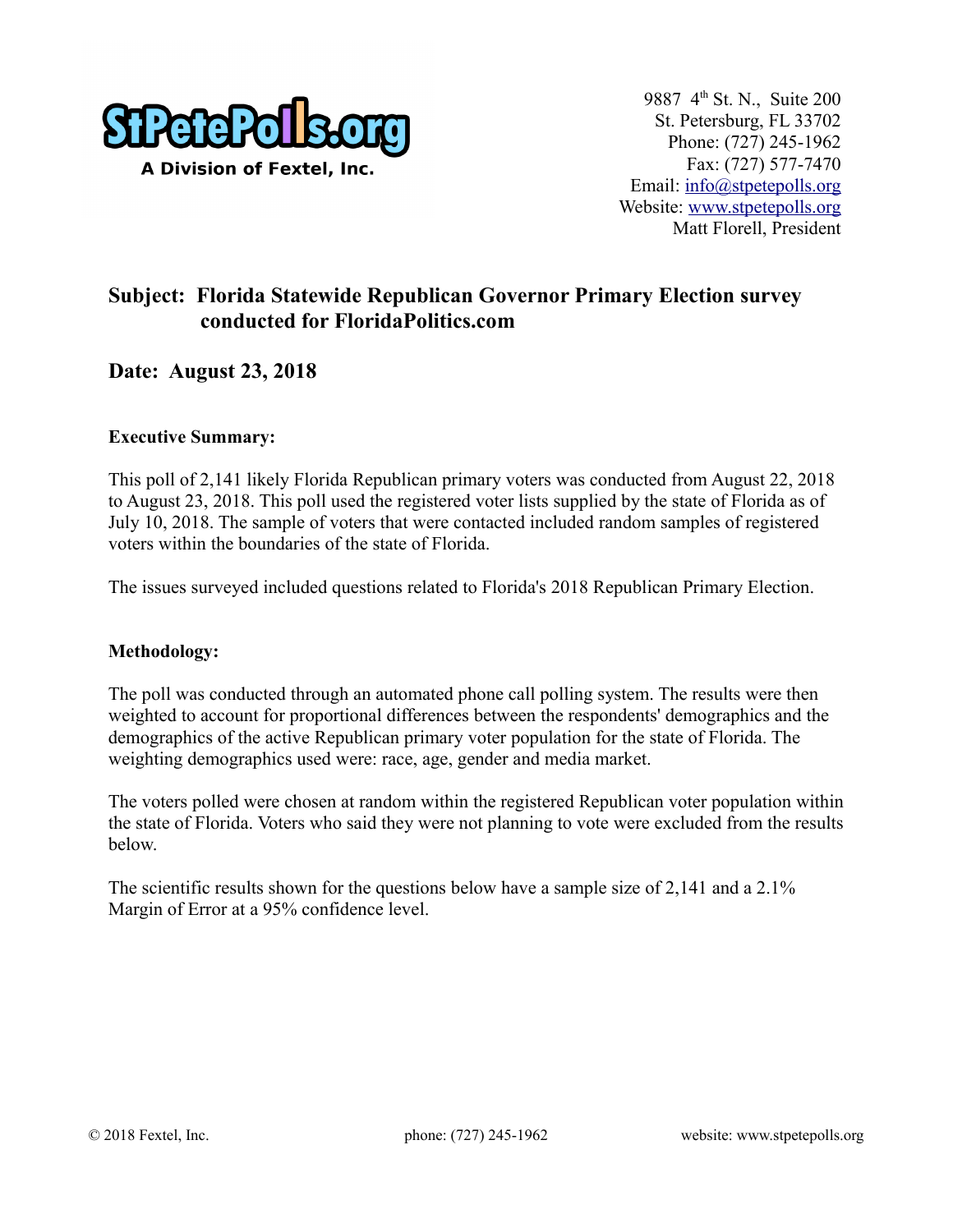

# **Subject: Florida Statewide Republican Governor Primary Election survey conducted for FloridaPolitics.com**

## **Date: August 23, 2018**

## **Executive Summary:**

This poll of 2,141 likely Florida Republican primary voters was conducted from August 22, 2018 to August 23, 2018. This poll used the registered voter lists supplied by the state of Florida as of July 10, 2018. The sample of voters that were contacted included random samples of registered voters within the boundaries of the state of Florida.

The issues surveyed included questions related to Florida's 2018 Republican Primary Election.

### **Methodology:**

The poll was conducted through an automated phone call polling system. The results were then weighted to account for proportional differences between the respondents' demographics and the demographics of the active Republican primary voter population for the state of Florida. The weighting demographics used were: race, age, gender and media market.

The voters polled were chosen at random within the registered Republican voter population within the state of Florida. Voters who said they were not planning to vote were excluded from the results below.

The scientific results shown for the questions below have a sample size of 2,141 and a 2.1% Margin of Error at a 95% confidence level.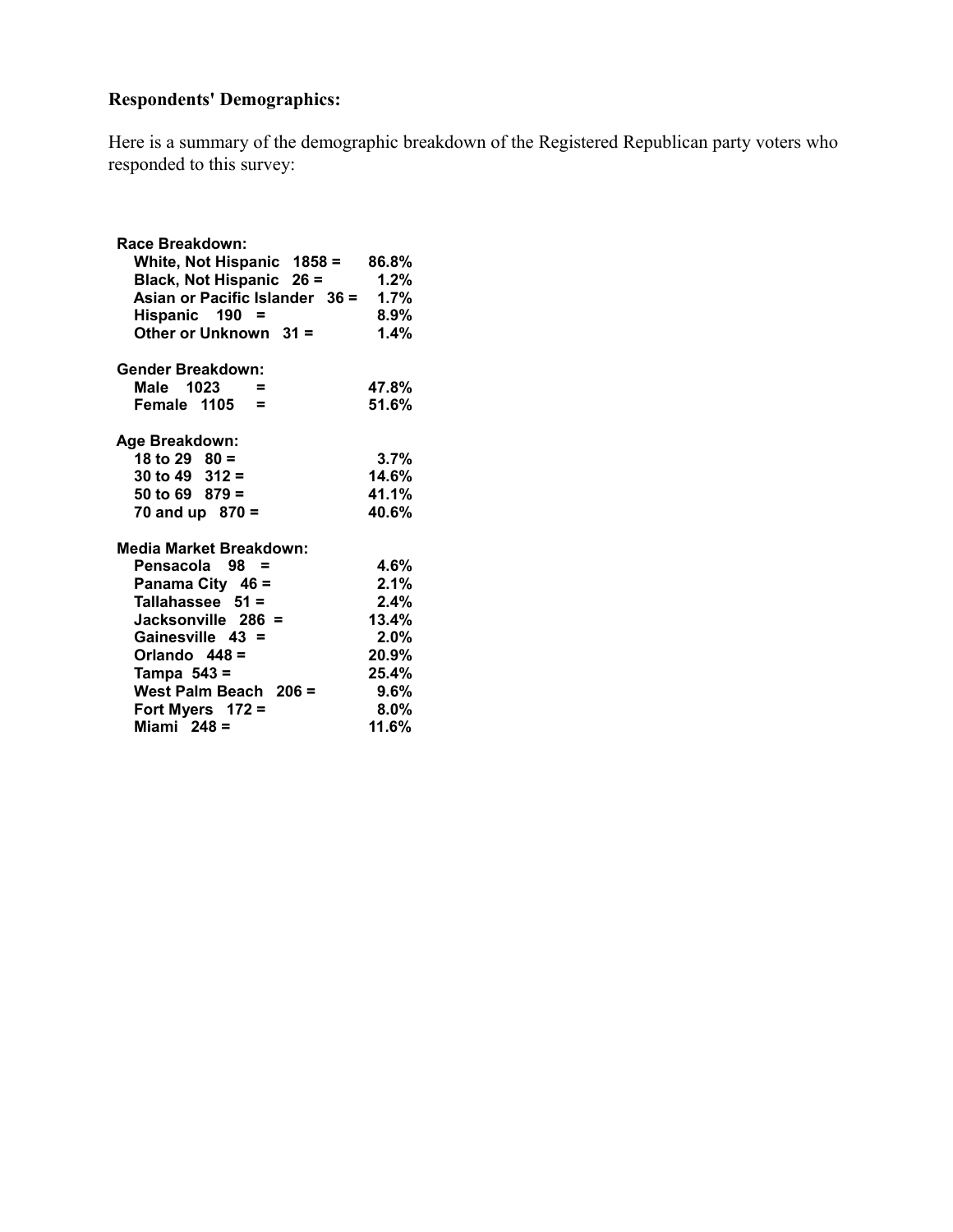# **Respondents' Demographics:**

Here is a summary of the demographic breakdown of the Registered Republican party voters who responded to this survey:

| Race Breakdown:                |         |
|--------------------------------|---------|
| White, Not Hispanic 1858 =     | 86.8%   |
| Black, Not Hispanic 26 =       | 1.2%    |
| Asian or Pacific Islander 36 = | 1.7%    |
| Hispanic 190 =                 | $8.9\%$ |
| Other or Unknown $31 =$        | 1.4%    |
| <b>Gender Breakdown:</b>       |         |
| Male 1023<br>$\equiv$          | 47.8%   |
| Female 1105 =                  | 51.6%   |
| Age Breakdown:                 |         |
| 18 to 29 $80 =$                | $3.7\%$ |
| 30 to 49 $312 =$               | 14.6%   |
| 50 to 69 $879 =$               | 41.1%   |
| 70 and up $870 =$              | 40.6%   |
| Media Market Breakdown:        |         |
| Pensacola 98 =                 | 4.6%    |
| Panama City 46 =               | 2.1%    |
| Tallahassee $51 =$             | $2.4\%$ |
| Jacksonville 286 =             | 13.4%   |
| Gainesville 43 =               | $2.0\%$ |
| Orlando $448 =$                | 20.9%   |
| Tampa $543 =$                  | 25.4%   |
| West Palm Beach 206 =          | $9.6\%$ |
| Fort Myers $172 =$             | $8.0\%$ |
| Miami $248 =$                  | 11.6%   |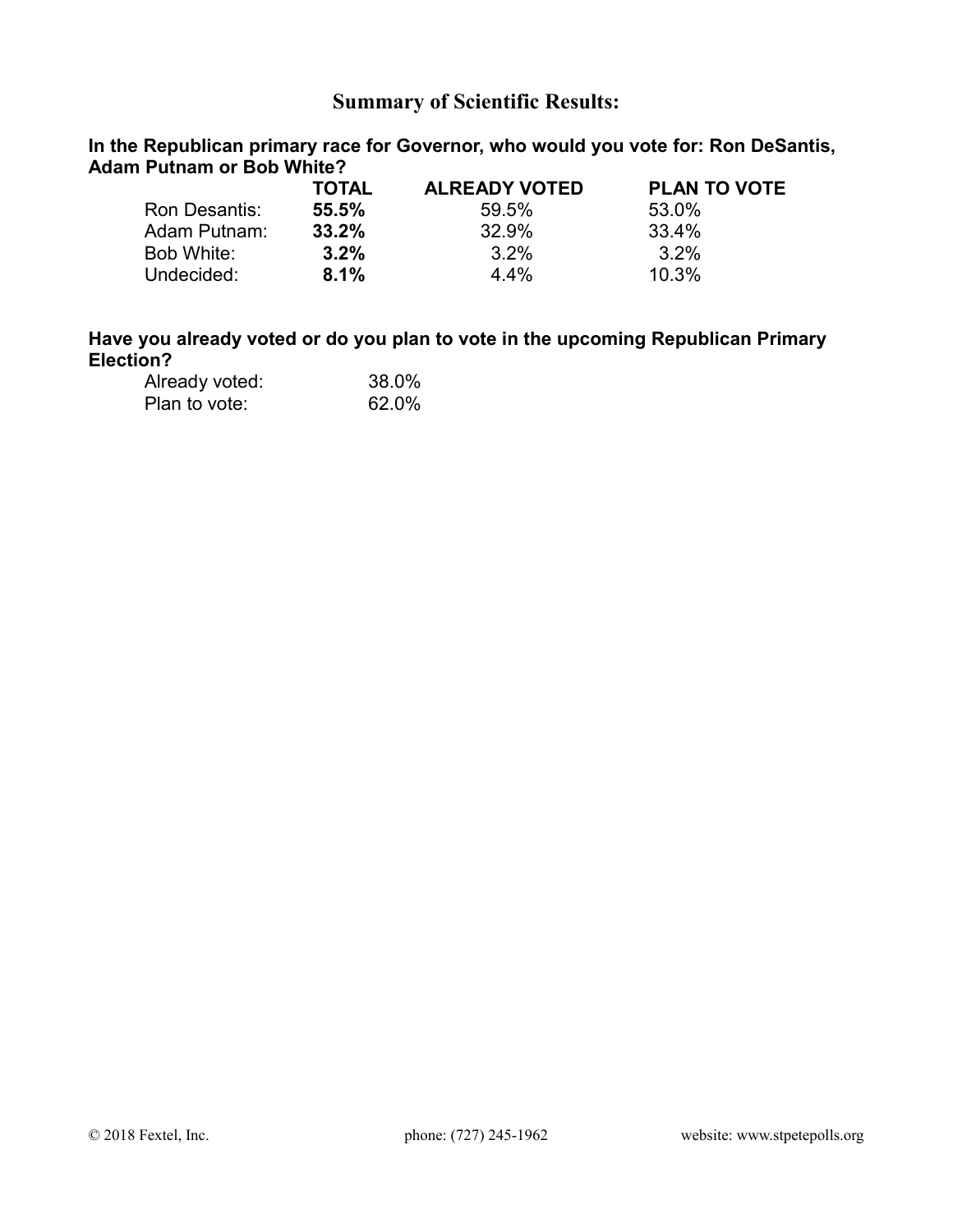## **Summary of Scientific Results:**

**In the Republican primary race for Governor, who would you vote for: Ron DeSantis, Adam Putnam or Bob White?** 

|               | <b>TOTAL</b> | <b>ALREADY VOTED</b> | <b>PLAN TO VOTE</b> |
|---------------|--------------|----------------------|---------------------|
| Ron Desantis: | 55.5%        | 59.5%                | 53.0%               |
| Adam Putnam:  | 33.2%        | 32.9%                | 33.4%               |
| Bob White:    | $3.2\%$      | $3.2\%$              | $3.2\%$             |
| Undecided:    | 8.1%         | $4.4\%$              | 10.3%               |

## **Have you already voted or do you plan to vote in the upcoming Republican Primary Election?**

| Already voted: | 38.0% |
|----------------|-------|
| Plan to vote:  | 62.0% |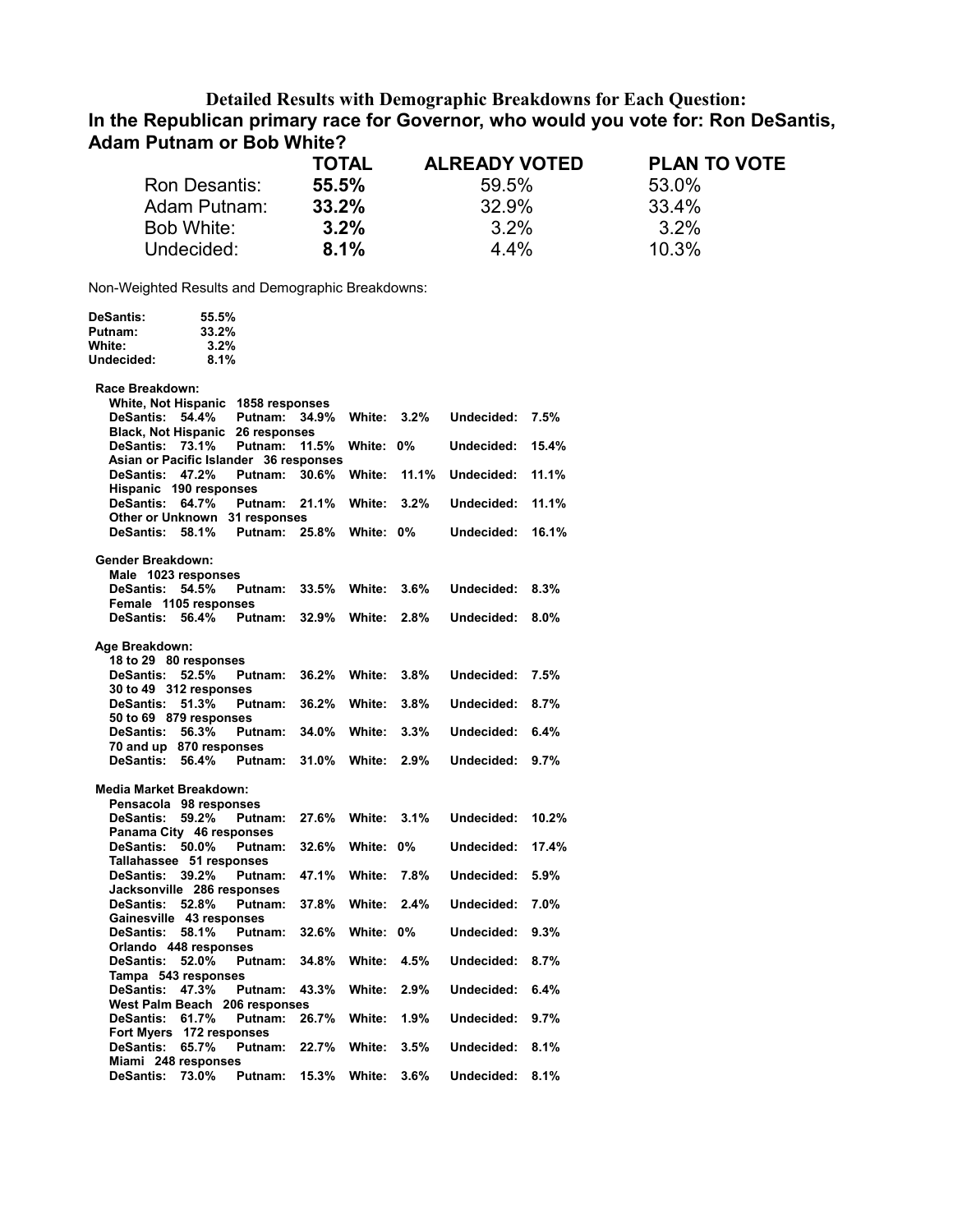### **Detailed Results with Demographic Breakdowns for Each Question: In the Republican primary race for Governor, who would you vote for: Ron DeSantis, Adam Putnam or Bob White?**

|               | <b>TOTAL</b> | <b>ALREADY VOTED</b> | <b>PLAN TO VOTE</b> |
|---------------|--------------|----------------------|---------------------|
| Ron Desantis: | 55.5%        | 59.5%                | 53.0%               |
| Adam Putnam:  | 33.2%        | 32.9%                | 33.4%               |
| Bob White:    | $3.2\%$      | $3.2\%$              | $3.2\%$             |
| Undecided:    | 8.1%         | $4.4\%$              | 10.3%               |
|               |              |                      |                     |

Non-Weighted Results and Demographic Breakdowns:

| <b>DeSantis:</b>                       | 55.5% |              |       |           |       |            |       |
|----------------------------------------|-------|--------------|-------|-----------|-------|------------|-------|
| Putnam:                                | 33.2% |              |       |           |       |            |       |
| White:                                 | 3.2%  |              |       |           |       |            |       |
| Undecided:                             | 8.1%  |              |       |           |       |            |       |
|                                        |       |              |       |           |       |            |       |
| Race Breakdown:                        |       |              |       |           |       |            |       |
| White, Not Hispanic 1858 responses     |       |              |       |           |       |            |       |
| <b>DeSantis:</b>                       | 54.4% | Putnam:      | 34.9% | White:    | 3.2%  | Undecided: | 7.5%  |
| <b>Black, Not Hispanic</b>             |       | 26 responses |       |           |       |            |       |
| DeSantis: 73.1%                        |       | Putnam:      | 11.5% | White: 0% |       | Undecided: | 15.4% |
| Asian or Pacific Islander 36 responses |       |              |       |           |       |            |       |
| DeSantis: 47.2%                        |       | Putnam:      | 30.6% | White:    | 11.1% | Undecided: | 11.1% |
| Hispanic 190 responses                 |       |              |       |           |       |            |       |
| <b>DeSantis:</b>                       | 64.7% | Putnam:      | 21.1% | White:    | 3.2%  | Undecided: | 11.1% |
| Other or Unknown 31 responses          |       |              |       |           |       |            |       |
| DeSantis:                              | 58.1% | Putnam:      | 25.8% | White: 0% |       | Undecided: | 16.1% |
|                                        |       |              |       |           |       |            |       |
| <b>Gender Breakdown:</b>               |       |              |       |           |       |            |       |
| Male 1023 responses                    |       |              |       |           |       |            |       |
| <b>DeSantis:</b>                       | 54.5% | Putnam:      | 33.5% | White:    | 3.6%  | Undecided: | 8.3%  |
| Female 1105 responses                  |       |              |       |           |       |            |       |
| <b>DeSantis:</b>                       | 56.4% | Putnam:      | 32.9% | White:    | 2.8%  | Undecided: | 8.0%  |
|                                        |       |              |       |           |       |            |       |
| Age Breakdown:                         |       |              |       |           |       |            |       |
| 18 to 29 80 responses                  |       |              |       |           |       |            |       |
| <b>DeSantis:</b>                       | 52.5% | Putnam:      | 36.2% | White:    | 3.8%  | Undecided: | 7.5%  |
| 30 to 49 312 responses                 |       |              |       |           |       |            |       |
| <b>DeSantis:</b>                       | 51.3% | Putnam:      | 36.2% | White:    | 3.8%  | Undecided: | 8.7%  |
| 50 to 69 879 responses                 |       |              |       |           |       |            |       |
| <b>DeSantis:</b>                       | 56.3% | Putnam:      | 34.0% | White:    | 3.3%  | Undecided: | 6.4%  |
| 70 and up 870 responses                |       |              |       |           |       |            |       |
| <b>DeSantis:</b>                       | 56.4% | Putnam:      | 31.0% | White:    | 2.9%  | Undecided: | 9.7%  |
|                                        |       |              |       |           |       |            |       |
| <b>Media Market Breakdown:</b>         |       |              |       |           |       |            |       |
| Pensacola 98 responses                 |       |              |       |           |       |            |       |
| <b>DeSantis:</b>                       | 59.2% | Putnam:      | 27.6% | White:    | 3.1%  | Undecided: | 10.2% |
| Panama City 46 responses               |       |              |       |           |       |            |       |
| <b>DeSantis:</b>                       | 50.0% | Putnam:      | 32.6% | White:    | 0%    | Undecided: | 17.4% |
| Tallahassee 51 responses               |       |              |       |           |       |            |       |
| <b>DeSantis:</b>                       | 39.2% | Putnam:      | 47.1% | White:    | 7.8%  | Undecided: | 5.9%  |
| Jacksonville 286 responses             |       |              |       |           |       |            |       |
| DeSantis: 52.8%                        |       | Putnam:      | 37.8% | White:    | 2.4%  | Undecided: | 7.0%  |
| Gainesville 43 responses               |       |              |       |           |       |            |       |
| <b>DeSantis:</b>                       | 58.1% | Putnam:      | 32.6% | White:    | $0\%$ | Undecided: | 9.3%  |
| Orlando 448 responses                  |       |              |       |           |       |            |       |
| <b>DeSantis:</b>                       | 52.0% | Putnam:      | 34.8% | White:    | 4.5%  | Undecided: | 8.7%  |
| Tampa 543 responses                    |       |              |       |           |       |            |       |
| <b>DeSantis:</b>                       | 47.3% | Putnam:      | 43.3% | White:    | 2.9%  | Undecided: | 6.4%  |
| West Palm Beach 206 responses          |       |              |       |           |       |            |       |
| DeSantis: 61.7%                        |       | Putnam:      | 26.7% | White:    | 1.9%  | Undecided: | 9.7%  |
| Fort Myers 172 responses               |       |              |       |           |       |            |       |
| <b>DeSantis:</b>                       | 65.7% | Putnam:      | 22.7% | White:    | 3.5%  | Undecided: | 8.1%  |
| Miami 248 responses                    |       |              |       |           |       |            |       |
| <b>DeSantis:</b>                       | 73.0% | Putnam:      | 15.3% | White:    | 3.6%  | Undecided: | 8.1%  |
|                                        |       |              |       |           |       |            |       |